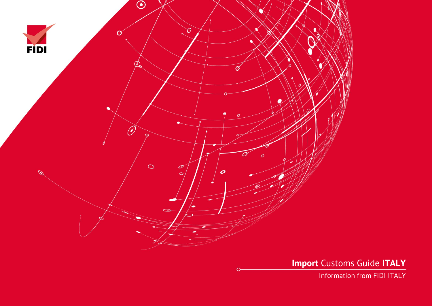

**Import** Customs Guide **ITALY**

Information from FIDI ITALY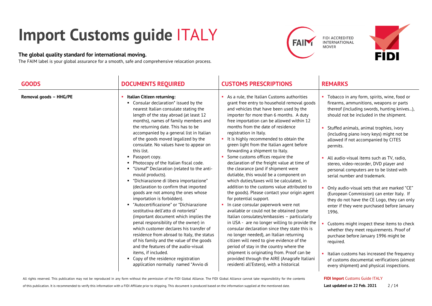# **Import Customs guide** ITALY

## **The global quality standard for international moving.**

The FAIM label is your global assurance for a smooth, safe and comprehensive relocation process.





| <b>GOODS</b>           | <b>DOCUMENTS REQUIRED</b>                                                                                                                                                                                                                                                                                                                                                                                                                                                                                                                                                                                                                                                                                                                                                                                                                                                                                                                                                                                                                                                                                                         | <b>CUSTOMS PRESCRIPTIONS</b>                                                                                                                                                                                                                                                                                                                                                                                                                                                                                                                                                                                                                                                                                                                                                                                                                                                                                                                                                                                                                                                                                                                                                                                                                                                         | <b>REMARKS</b>                                                                                                                                                                                                                                                                                                                                                                                                                                                                                                                                                                                                                                                                                                                                                                                                                                                                                                                                                                                   |
|------------------------|-----------------------------------------------------------------------------------------------------------------------------------------------------------------------------------------------------------------------------------------------------------------------------------------------------------------------------------------------------------------------------------------------------------------------------------------------------------------------------------------------------------------------------------------------------------------------------------------------------------------------------------------------------------------------------------------------------------------------------------------------------------------------------------------------------------------------------------------------------------------------------------------------------------------------------------------------------------------------------------------------------------------------------------------------------------------------------------------------------------------------------------|--------------------------------------------------------------------------------------------------------------------------------------------------------------------------------------------------------------------------------------------------------------------------------------------------------------------------------------------------------------------------------------------------------------------------------------------------------------------------------------------------------------------------------------------------------------------------------------------------------------------------------------------------------------------------------------------------------------------------------------------------------------------------------------------------------------------------------------------------------------------------------------------------------------------------------------------------------------------------------------------------------------------------------------------------------------------------------------------------------------------------------------------------------------------------------------------------------------------------------------------------------------------------------------|--------------------------------------------------------------------------------------------------------------------------------------------------------------------------------------------------------------------------------------------------------------------------------------------------------------------------------------------------------------------------------------------------------------------------------------------------------------------------------------------------------------------------------------------------------------------------------------------------------------------------------------------------------------------------------------------------------------------------------------------------------------------------------------------------------------------------------------------------------------------------------------------------------------------------------------------------------------------------------------------------|
| Removal goods - HHG/PE | Italian Citizen returning:<br>• Consular declaration* issued by the<br>nearest Italian consulate stating the<br>length of the stay abroad (at least 12<br>months), names of family members and<br>the returning date. This has to be<br>accompanied by a general list in Italian<br>of the goods moved legalized by the<br>consulate. No values have to appear on<br>this list.<br>• Passport copy.<br>• Photocopy of the Italian fiscal code.<br>" "Usmaf" Declaration (related to the anti-<br>mould products).<br>"Dichiarazione di libera importazione"<br>(declaration to confirm that imported<br>goods are not among the ones whose<br>importation is forbidden).<br>■ "Autocertificazione" or "Dichiarazione<br>sostitutiva dell'atto di notorietà"<br>(important document which implies the<br>penal responsibility of the owner) in<br>which customer declares his transfer of<br>residence from abroad to Italy, the status<br>of his family and the value of the goods<br>and the features of the audio-visual<br>items, if included.<br>• Copy of the residence registration<br>application normally named "Avvio di | As a rule, the Italian Customs authorities<br>grant free entry to household removal goods<br>and vehicles that have been used by the<br>importer for more than 6 months. A duty<br>free importation can be allowed within 12<br>months from the date of residence<br>registration in Italy.<br>• It is highly recommended to obtain the<br>green light from the Italian agent before<br>forwarding a shipment to Italy.<br>Some customs offices require the<br>declaration of the freight value at time of<br>the clearance (and if shipment were<br>dutiable, this would be a component on<br>which duties/taxes will be calculated, in<br>addition to the customs value attributed to<br>the goods). Please contact your origin agent<br>for potential support.<br>• In case consular paperwork were not<br>available or could not be obtained (some<br>Italian consulates/embassies - particularly<br>in USA - are no longer willing to provide the<br>consular declaration since they state this is<br>no longer needed), an Italian returning<br>citizen will need to give evidence of the<br>period of stay in the country where the<br>shipment is originating from. Proof can be<br>provided through the AIRE (Anagrafe Italiani<br>residenti all'Estero), with a historical | • Tobacco in any form, spirits, wine, food or<br>firearms, ammunitions, weapons or parts<br>thereof (including swords, hunting knives),<br>should not be included in the shipment.<br>Stuffed animals, animal trophies, ivory<br>(including piano ivory keys) might not be<br>allowed if not accompanied by CITES<br>permits.<br>All audio-visual items such as TV, radio,<br>stereo, video-recorder, DVD player and<br>personal computers are to be listed with<br>serial number and trademark.<br>Only audio-visual sets that are marked "CE"<br>(European Commission) can enter Italy. If<br>they do not have the CE Logo, they can only<br>enter if they were purchased before January<br>1996.<br>Customs might inspect these items to check<br>whether they meet requirements. Proof of<br>purchase before January 1996 might be<br>required.<br>• Italian customs has increased the frequency<br>of customs documental verifications (almost<br>every shipment) and physical inspections. |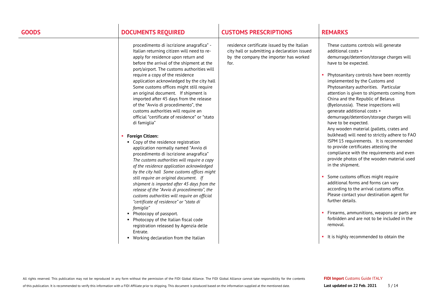| procedimento di iscrizione anagrafica" -<br>residence certificate issued by the Italian<br>These customs controls will generate<br>Italian returning citizen will need to re-<br>city hall or submitting a declaration issued<br>additional costs +<br>apply for residence upon return and<br>by the company the importer has worked<br>demurrage/detention/storage charges will<br>before the arrival of the shipment at the<br>for.<br>have to be expected.<br>port/airport. The customs authorities will<br>Phytosanitary controls have been recently<br>require a copy of the residence<br>implemented by the Customs and<br>application acknowledged by the city hall<br>Some customs offices might still require<br>Phytosanitary authorities. Particular<br>an original document. If shipment is<br>attention is given to shipments coming from<br>imported after 45 days from the release<br>China and the Republic of Belarus<br>of the "Avvio di procedimento", the<br>(Byelorussia). These inspections will<br>customs authorities will require an<br>generate additional costs +<br>official "certificate of residence" or "stato<br>demurrage/detention/storage charges will<br>have to be expected.<br>di famiglia"<br>Any wooden material (pallets, crates and<br>bulkhead) will need to strictly adhere to FAO<br><b>Foreign Citizen:</b><br>ISPM 15 requirements. It is recommended<br>• Copy of the residence registration<br>to provide certificates attesting the<br>application normally named "Avvio di<br>compliance with the requirements and even<br>procedimento di iscrizione anagrafica"<br>provide photos of the wooden material used<br>The customs authorities will require a copy<br>in the shipment.<br>of the residence application acknowledged<br>by the city hall Some customs offices might<br>Some customs offices might require<br>still require an original document. If<br>additional forms and forms can vary<br>shipment is imported after 45 days from the<br>according to the arrival customs office.<br>release of the "Avvio di procedimento", the<br>Please contact your destination agent for<br>customs authorities will require an official<br>further details.<br>"certificate of residence" or "stato di<br>famiglia"<br>Firearms, ammunitions, weapons or parts are<br>• Photocopy of passport.<br>forbidden and are not to be included in the<br>• Photocopy of the Italian fiscal code<br>removal.<br>registration released by Agenzia delle<br>Entrate.<br>It is highly recommended to obtain the<br>• Working declaration from the Italian |
|-------------------------------------------------------------------------------------------------------------------------------------------------------------------------------------------------------------------------------------------------------------------------------------------------------------------------------------------------------------------------------------------------------------------------------------------------------------------------------------------------------------------------------------------------------------------------------------------------------------------------------------------------------------------------------------------------------------------------------------------------------------------------------------------------------------------------------------------------------------------------------------------------------------------------------------------------------------------------------------------------------------------------------------------------------------------------------------------------------------------------------------------------------------------------------------------------------------------------------------------------------------------------------------------------------------------------------------------------------------------------------------------------------------------------------------------------------------------------------------------------------------------------------------------------------------------------------------------------------------------------------------------------------------------------------------------------------------------------------------------------------------------------------------------------------------------------------------------------------------------------------------------------------------------------------------------------------------------------------------------------------------------------------------------------------------------------------------------------------------------------------------------------------------------------------------------------------------------------------------------------------------------------------------------------------------------------------------------------------------------------------------------------------------------------------------------------------------------------------------------------------------------------------------------------------------------------------------------------------|
|                                                                                                                                                                                                                                                                                                                                                                                                                                                                                                                                                                                                                                                                                                                                                                                                                                                                                                                                                                                                                                                                                                                                                                                                                                                                                                                                                                                                                                                                                                                                                                                                                                                                                                                                                                                                                                                                                                                                                                                                                                                                                                                                                                                                                                                                                                                                                                                                                                                                                                                                                                                                       |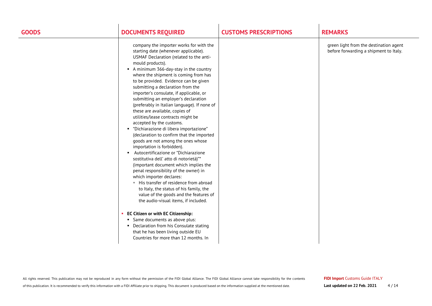| <b>GOODS</b> | <b>DOCUMENTS REQUIRED</b>                                                                                                                                                                                                                                                                                                                                                                                                                                                                                                                                                                                                                                                                                                                                                                                                                                                                                                                                                                                                                                                                                                                                                                                                                                                                           | <b>CUSTOMS PRESCRIPTIONS</b> | <b>REMARKS</b>                                                                   |
|--------------|-----------------------------------------------------------------------------------------------------------------------------------------------------------------------------------------------------------------------------------------------------------------------------------------------------------------------------------------------------------------------------------------------------------------------------------------------------------------------------------------------------------------------------------------------------------------------------------------------------------------------------------------------------------------------------------------------------------------------------------------------------------------------------------------------------------------------------------------------------------------------------------------------------------------------------------------------------------------------------------------------------------------------------------------------------------------------------------------------------------------------------------------------------------------------------------------------------------------------------------------------------------------------------------------------------|------------------------------|----------------------------------------------------------------------------------|
|              | company the importer works for with the<br>starting date (whenever applicable).<br>USMAF Declaration (related to the anti-<br>mould products).<br>A minimum 366-day-stay in the country<br>where the shipment is coming from has<br>to be provided. Evidence can be given<br>submitting a declaration from the<br>importer's consulate, if applicable, or<br>submitting an employer's declaration<br>(preferably in Italian language). If none of<br>these are available, copies of<br>utilities/lease contracts might be<br>accepted by the customs.<br>"Dichiarazione di libera importazione"<br>(declaration to confirm that the imported<br>goods are not among the ones whose<br>importation is forbidden).<br>• Autocertificazione or "Dichiarazione<br>sostitutiva dell' atto di notorietà)"*<br>(important document which implies the<br>penal responsibility of the owner) in<br>which importer declares:<br>His transfer of residence from abroad<br>to Italy, the status of his family, the<br>value of the goods and the features of<br>the audio-visual items, if included.<br><b>EC Citizen or with EC Citizenship:</b><br>• Same documents as above plus:<br>• Declaration from his Consulate stating<br>that he has been living outside EU<br>Countries for more than 12 months. In |                              | green light from the destination agent<br>before forwarding a shipment to Italy. |
|              |                                                                                                                                                                                                                                                                                                                                                                                                                                                                                                                                                                                                                                                                                                                                                                                                                                                                                                                                                                                                                                                                                                                                                                                                                                                                                                     |                              |                                                                                  |

All rights reserved. This publication may not be reproduced in any form without the permission of the FIDI Global Alliance. The FIDI Global Alliance cannot take responsibility for the contents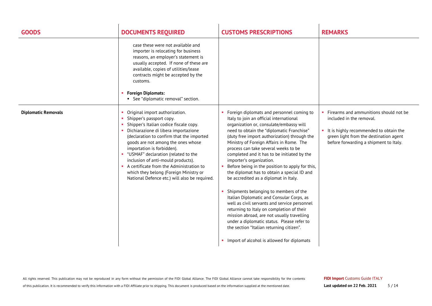| <b>GOODS</b>               | <b>DOCUMENTS REQUIRED</b>                                                                                                                                                                                                                                                                                                                                                                                                                                                             | <b>CUSTOMS PRESCRIPTIONS</b>                                                                                                                                                                                                                                                                                                                                                                                                                                                                                                                                                                                                                                                                                                                                                                                                                                                                                    | <b>REMARKS</b>                                                                                                                                                                                   |
|----------------------------|---------------------------------------------------------------------------------------------------------------------------------------------------------------------------------------------------------------------------------------------------------------------------------------------------------------------------------------------------------------------------------------------------------------------------------------------------------------------------------------|-----------------------------------------------------------------------------------------------------------------------------------------------------------------------------------------------------------------------------------------------------------------------------------------------------------------------------------------------------------------------------------------------------------------------------------------------------------------------------------------------------------------------------------------------------------------------------------------------------------------------------------------------------------------------------------------------------------------------------------------------------------------------------------------------------------------------------------------------------------------------------------------------------------------|--------------------------------------------------------------------------------------------------------------------------------------------------------------------------------------------------|
|                            | case these were not available and<br>importer is relocating for business<br>reasons, an employer's statement is<br>usually accepted. If none of these are<br>available, copies of utilities/lease<br>contracts might be accepted by the<br>customs.<br><b>Foreign Diplomats:</b><br>• See "diplomatic removal" section.                                                                                                                                                               |                                                                                                                                                                                                                                                                                                                                                                                                                                                                                                                                                                                                                                                                                                                                                                                                                                                                                                                 |                                                                                                                                                                                                  |
| <b>Diplomatic Removals</b> | Original import authorization.<br>Shipper's passport copy.<br>Shipper's Italian codice fiscale copy.<br>Dichiarazione di libera importazione<br>(declaration to confirm that the imported<br>goods are not among the ones whose<br>importation is forbidden).<br>" "USMAF" declaration (related to the<br>inclusion of anti-mould products).<br>• A certificate from the Administration to<br>which they belong (Foreign Ministry or<br>National Defence etc.) will also be required. | Foreign diplomats and personnel coming to<br>Italy to join an official international<br>organization or, consulate/embassy will<br>need to obtain the "diplomatic Franchise"<br>(duty free import authorization) through the<br>Ministry of Foreign Affairs in Rome. The<br>process can take several weeks to be<br>completed and it has to be initiated by the<br>importer's organization.<br>Before being in the position to apply for this,<br>the diplomat has to obtain a special ID and<br>be accredited as a diplomat in Italy.<br>Shipments belonging to members of the<br>Italian Diplomatic and Consular Corps, as<br>well as civil servants and service personnel<br>returning to Italy on completion of their<br>mission abroad, are not usually travelling<br>under a diplomatic status. Please refer to<br>the section "Italian returning citizen".<br>Import of alcohol is allowed for diplomats | Firearms and ammunitions should not be<br>included in the removal.<br>It is highly recommended to obtain the<br>green light from the destination agent<br>before forwarding a shipment to Italy. |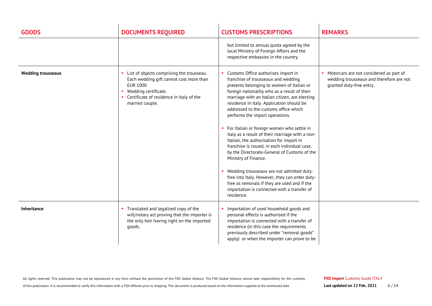| <b>GOODS</b>              | <b>DOCUMENTS REQUIRED</b>                                                                                                                                                                        | <b>CUSTOMS PRESCRIPTIONS</b>                                                                                                                                                                                                                                                                                                                                                                                                                                                                                                                                                                                                                                                                                                                                                                                                         | <b>REMARKS</b>                                                                                                  |
|---------------------------|--------------------------------------------------------------------------------------------------------------------------------------------------------------------------------------------------|--------------------------------------------------------------------------------------------------------------------------------------------------------------------------------------------------------------------------------------------------------------------------------------------------------------------------------------------------------------------------------------------------------------------------------------------------------------------------------------------------------------------------------------------------------------------------------------------------------------------------------------------------------------------------------------------------------------------------------------------------------------------------------------------------------------------------------------|-----------------------------------------------------------------------------------------------------------------|
|                           |                                                                                                                                                                                                  | but limited to annual quota agreed by the<br>local Ministry of Foreign Affairs and the<br>respective embassies in the country.                                                                                                                                                                                                                                                                                                                                                                                                                                                                                                                                                                                                                                                                                                       |                                                                                                                 |
| <b>Wedding trousseaux</b> | List of objects comprising the trousseau.<br>Each wedding gift cannot cost more than<br><b>EUR 1000</b><br>Wedding certificate.<br>• Certificate of residence in Italy of the<br>married couple. | Customs Office authorises import in<br>franchise of trousseaux and wedding<br>presents belonging to women of Italian or<br>foreign nationality who as a result of their<br>marriage with an Italian citizen, are electing<br>residence in Italy. Application should be<br>addressed to the customs office which<br>performs the import operations.<br>For Italian or foreign women who settle in<br>Italy as a result of their marriage with a non-<br>Italian, the authorisation for import in<br>franchise is issued, in each individual case,<br>by the Directorate-General of Customs of the<br>Ministry of Finance.<br>Wedding trousseaux are not admitted duty-<br>free into Italy. However, they can enter duty-<br>free as removals if they are used and if the<br>importation is connected with a transfer of<br>residence. | Motorcars are not considered as part of<br>wedding trousseaux and therefore are not<br>granted duty-free entry. |
| Inheritance               | • Translated and legalized copy of the<br>will/notary act proving that the importer is<br>the only heir having right on the imported<br>qoods.                                                   | Importation of used household goods and<br>personal effects is authorised if the<br>importation is connected with a transfer of<br>residence (in this case the requirements<br>previously described under "removal goods"<br>apply) or when the importer can prove to be                                                                                                                                                                                                                                                                                                                                                                                                                                                                                                                                                             |                                                                                                                 |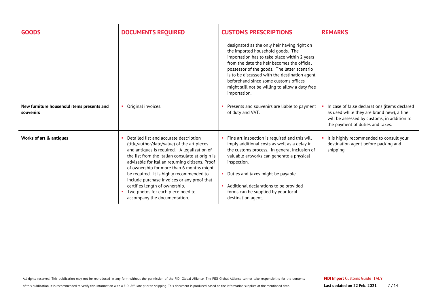| <b>GOODS</b>                                            | <b>DOCUMENTS REQUIRED</b>                                                                                                                                                                                                                                                                                                                                                                                                                                                                  | <b>CUSTOMS PRESCRIPTIONS</b>                                                                                                                                                                                                                                                                                                                                                                | <b>REMARKS</b>                                                                                                                                                                |
|---------------------------------------------------------|--------------------------------------------------------------------------------------------------------------------------------------------------------------------------------------------------------------------------------------------------------------------------------------------------------------------------------------------------------------------------------------------------------------------------------------------------------------------------------------------|---------------------------------------------------------------------------------------------------------------------------------------------------------------------------------------------------------------------------------------------------------------------------------------------------------------------------------------------------------------------------------------------|-------------------------------------------------------------------------------------------------------------------------------------------------------------------------------|
|                                                         |                                                                                                                                                                                                                                                                                                                                                                                                                                                                                            | designated as the only heir having right on<br>the imported household goods. The<br>importation has to take place within 2 years<br>from the date the heir becomes the official<br>possessor of the goods. The latter scenario<br>is to be discussed with the destination agent<br>beforehand since some customs offices<br>might still not be willing to allow a duty free<br>importation. |                                                                                                                                                                               |
| New furniture household items presents and<br>souvenirs | Original invoices.<br>٠                                                                                                                                                                                                                                                                                                                                                                                                                                                                    | Presents and souvenirs are liable to payment<br>of duty and VAT.                                                                                                                                                                                                                                                                                                                            | In case of false declarations (items declared<br>as used while they are brand new), a fine<br>will be assessed by customs, in addition to<br>the payment of duties and taxes. |
| Works of art & antiques                                 | Detailed list and accurate description<br>(title/author/date/value) of the art pieces<br>and antiques is required. A legalization of<br>the list from the Italian consulate at origin is<br>advisable for Italian returning citizens. Proof<br>of ownership for more than 6 months might<br>be required. It is highly recommended to<br>include purchase invoices or any proof that<br>certifies length of ownership.<br>Two photos for each piece need to<br>accompany the documentation. | Fine art inspection is required and this will<br>imply additional costs as well as a delay in<br>the customs process. In general inclusion of<br>valuable artworks can generate a physical<br>inspection.<br>• Duties and taxes might be payable.<br>Additional declarations to be provided -<br>forms can be supplied by your local<br>destination agent.                                  | It is highly recommended to consult your<br>destination agent before packing and<br>shipping.                                                                                 |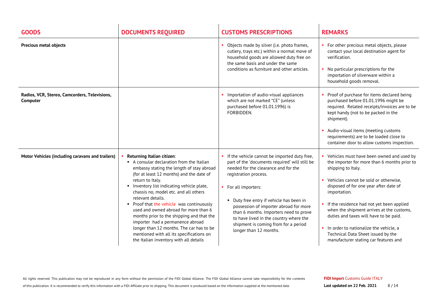| <b>GOODS</b>                                              | <b>DOCUMENTS REQUIRED</b>                                                                                                                                                                                                                                                                                                                                                                                                                                                                                                                                                                             | <b>CUSTOMS PRESCRIPTIONS</b>                                                                                                                                                                                                                                                                                                                                                                                                      | <b>REMARKS</b>                                                                                                                                                                                                                                                                                                                                                                                                                                                                    |
|-----------------------------------------------------------|-------------------------------------------------------------------------------------------------------------------------------------------------------------------------------------------------------------------------------------------------------------------------------------------------------------------------------------------------------------------------------------------------------------------------------------------------------------------------------------------------------------------------------------------------------------------------------------------------------|-----------------------------------------------------------------------------------------------------------------------------------------------------------------------------------------------------------------------------------------------------------------------------------------------------------------------------------------------------------------------------------------------------------------------------------|-----------------------------------------------------------------------------------------------------------------------------------------------------------------------------------------------------------------------------------------------------------------------------------------------------------------------------------------------------------------------------------------------------------------------------------------------------------------------------------|
| <b>Precious metal objects</b>                             |                                                                                                                                                                                                                                                                                                                                                                                                                                                                                                                                                                                                       | Objects made by silver (i.e. photo frames,<br>cutlery, trays etc.) within a normal move of<br>household goods are allowed duty free on<br>the same basis and under the same<br>conditions as furniture and other articles.                                                                                                                                                                                                        | • For other precious metal objects, please<br>contact your local destination agent for<br>verification.<br>No particular prescriptions for the<br>importation of silverware within a<br>household goods removal.                                                                                                                                                                                                                                                                  |
| Radios, VCR, Stereo, Camcorders, Televisions,<br>Computer |                                                                                                                                                                                                                                                                                                                                                                                                                                                                                                                                                                                                       | Importation of audio-visual appliances<br>which are not marked "CE" (unless<br>purchased before 01.01.1996) is<br>FORBIDDEN.                                                                                                                                                                                                                                                                                                      | Proof of purchase for items declared being<br>purchased before 01.01.1996 might be<br>required. Related receipts/invoices are to be<br>kept handy (not to be packed in the<br>shipment).<br>Audio-visual items (meeting customs<br>requirements) are to be loaded close to<br>container door to allow customs inspection.                                                                                                                                                         |
| Motor Vehicles (including caravans and trailers)          | Returning Italian citizen:<br>A consular declaration from the Italian<br>embassy stating the length of stay abroad<br>(for at least 12 months) and the date of<br>return to Italy.<br>Inventory list indicating vehicle plate,<br>chassis no, model etc. and all others<br>relevant details.<br>• Proof that the vehicle was continuously<br>used and owned abroad for more than 6<br>months prior to the shipping and that the<br>importer had a permanence abroad<br>longer than 12 months. The car has to be<br>mentioned with all its specifications on<br>the Italian inventory with all details | If the vehicle cannot be imported duty free,<br>part of the 'documents required' will still be<br>needed for the clearance and for the<br>registration process.<br>• For all importers:<br>Duty free entry if vehicle has been in<br>possession of importer abroad for more<br>than 6 months. Importers need to prove<br>to have lived in the country where the<br>shipment is coming from for a period<br>longer than 12 months. | Vehicles must have been owned and used by<br>the importer for more than 6 months prior to<br>shipping to Italy.<br>Vehicles cannot be sold or otherwise,<br>disposed of for one year after date of<br>importation.<br>• If the residence had not yet been applied<br>when the shipment arrives at the customs,<br>duties and taxes will have to be paid.<br>In order to nationalize the vehicle, a<br>Technical Data Sheet issued by the<br>manufacturer stating car features and |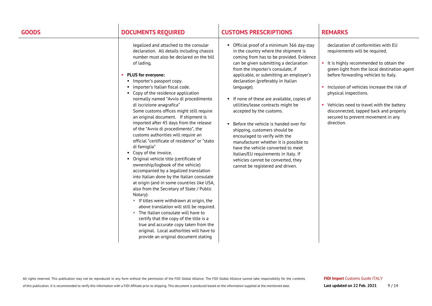legalized and attached to the consular declaration. All details including chassis number must also be declared on the bill of lading.

### **PLUS for everyone:**

- **Importer's passport copy.**
- **Importer's Italian fiscal code.**
- Copy of the residence application normally named "Avvio di procedimento di iscrizione anagrafica" Some customs offices might still require an original document. If shipment is imported after 45 days from the release of the "Avvio di procedimento", the customs authorities will require an official "certificate of residence" or "stato di famiglia"
- Copy of the invoice.
- Original vehicle title (certificate of ownership/logbook of the vehicle) accompanied by a legalized translation into Italian done by the Italian consulate at origin (and in some countries like USA, also from the Secretary of State / Public Notary):
	- $\blacksquare$  If titles were withdrawn at origin, the above translation will still be required.
	- The Italian consulate will have to certify that the copy of the title is a true and accurate copy taken from the original. Local authorities will have to provide an original document stating

## **GOODS DOCUMENTS REQUIRED CUSTOMS PRESCRIPTIONS REMARKS**

- Official proof of a minimum 366 day-stay in the country where the shipment is coming from has to be provided. Evidence can be given submitting a declaration from the importer's consulate, if applicable, or submitting an employer's declaration (preferably in Italian language).
- If none of these are available, copies of utilities/lease contracts might be accepted by the customs.
- Before the vehicle is handed over for shipping, customers should be encouraged to verify with the manufacturer whether it is possible to have the vehicle converted to meet Italian/EU requirements in Italy. If vehicles cannot be converted, they cannot be registered and driven.

declaration of conformities with EU requirements will be required.

- It is highly recommended to obtain the green light from the local destination agent before forwarding vehicles to Italy.
- Inclusion of vehicles increase the risk of physical inspections.
- Vehicles need to travel with the battery disconnected, tapped back and properly secured to prevent movement in any direction.

All rights reserved. This publication may not be reproduced in any form without the permission of the FIDI Global Alliance. The FIDI Global Alliance cannot take responsibility for the contents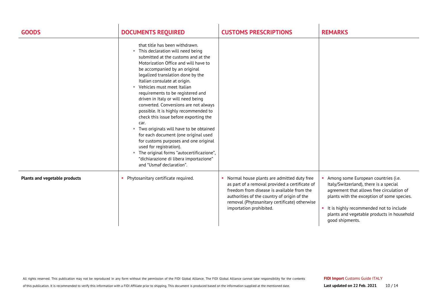| <b>GOODS</b>                  | <b>DOCUMENTS REQUIRED</b>                                                                                                                                                                                                                                                                                                                                                                                                                                                                                                                                                                                                                                                                                                                                                             | <b>CUSTOMS PRESCRIPTIONS</b>                                                                                                                                                                                                                                          | <b>REMARKS</b>                                                                                                                                                                                                                                                                         |
|-------------------------------|---------------------------------------------------------------------------------------------------------------------------------------------------------------------------------------------------------------------------------------------------------------------------------------------------------------------------------------------------------------------------------------------------------------------------------------------------------------------------------------------------------------------------------------------------------------------------------------------------------------------------------------------------------------------------------------------------------------------------------------------------------------------------------------|-----------------------------------------------------------------------------------------------------------------------------------------------------------------------------------------------------------------------------------------------------------------------|----------------------------------------------------------------------------------------------------------------------------------------------------------------------------------------------------------------------------------------------------------------------------------------|
|                               | that title has been withdrawn.<br>" This declaration will need being<br>submitted at the customs and at the<br>Motorization Office and will have to<br>be accompanied by an original<br>legalized translation done by the<br>Italian consulate at origin.<br>Vehicles must meet Italian<br>requirements to be registered and<br>driven in Italy or will need being<br>converted. Conversions are not always<br>possible. It is highly recommended to<br>check this issue before exporting the<br>car.<br>Two originals will have to be obtained<br>ш.<br>for each document (one original used<br>for customs purposes and one original<br>used for registration).<br>" The original forms "autocertificazione",<br>"dichiarazione di libera importazione"<br>and "Usmaf declaration". |                                                                                                                                                                                                                                                                       |                                                                                                                                                                                                                                                                                        |
| Plants and vegetable products | • Phytosanitary certificate required.                                                                                                                                                                                                                                                                                                                                                                                                                                                                                                                                                                                                                                                                                                                                                 | Normal house plants are admitted duty free<br>as part of a removal provided a certificate of<br>freedom from disease is available from the<br>authorities of the country of origin of the<br>removal (Phytosanitary certificate) otherwise<br>importation prohibited. | Among some European countries (i.e.<br>Italy/Switzerland), there is a special<br>agreement that allows free circulation of<br>plants with the exception of some species.<br>• It is highly recommended not to include<br>plants and vegetable products in household<br>good shipments. |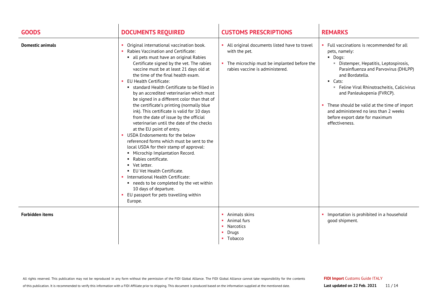| <b>GOODS</b>            | <b>DOCUMENTS REQUIRED</b>                                                                                                                                                                                                                                                                                                                                                                                                                                                                                                                                                                                                                                                                                                                                                                                                                                                                                                                                                                                                                                            | <b>CUSTOMS PRESCRIPTIONS</b>                                                                                                                   | <b>REMARKS</b>                                                                                                                                                                                                                                                                                                                                                                                                             |
|-------------------------|----------------------------------------------------------------------------------------------------------------------------------------------------------------------------------------------------------------------------------------------------------------------------------------------------------------------------------------------------------------------------------------------------------------------------------------------------------------------------------------------------------------------------------------------------------------------------------------------------------------------------------------------------------------------------------------------------------------------------------------------------------------------------------------------------------------------------------------------------------------------------------------------------------------------------------------------------------------------------------------------------------------------------------------------------------------------|------------------------------------------------------------------------------------------------------------------------------------------------|----------------------------------------------------------------------------------------------------------------------------------------------------------------------------------------------------------------------------------------------------------------------------------------------------------------------------------------------------------------------------------------------------------------------------|
| <b>Domestic animals</b> | Original international vaccination book.<br>Rabies Vaccination and Certificate:<br>all pets must have an original Rabies<br>Certificate signed by the vet. The rabies<br>vaccine must be at least 21 days old at<br>the time of the final health exam.<br>EU Health Certificate:<br><b>Example:</b> standard Health Certificate to be filled in<br>by an accredited veterinarian which must<br>be signed in a different color than that of<br>the certificate's printing (normally blue<br>ink). This certificate is valid for 10 days<br>from the date of issue by the official<br>veterinarian until the date of the checks<br>at the EU point of entry.<br>USDA Endorsements for the below<br>referenced forms which must be sent to the<br>local USDA for their stamp of approval:<br>• Microchip Implantation Record.<br>• Rabies certificate.<br>• Vet letter.<br>• EU Vet Health Certificate.<br>International Health Certificate:<br>■ needs to be completed by the vet within<br>10 days of departure.<br>EU passport for pets travelling within<br>Europe. | All original documents listed have to travel<br>with the pet.<br>The microchip must be implanted before the<br>rabies vaccine is administered. | Full vaccinations is recommended for all<br>pets, namely:<br>· Dogs:<br>· Distemper, Hepatitis, Leptospirosis,<br>Parainfluenza and Parvovirus (DHLPP)<br>and Bordatella.<br>$\blacksquare$ Cats:<br>Feline Viral Rhinotracheitis, Calicivirus<br>and Panleukopenia (FVRCP).<br>• These should be valid at the time of import<br>and administered no less than 2 weeks<br>before export date for maximum<br>effectiveness. |
| <b>Forbidden items</b>  |                                                                                                                                                                                                                                                                                                                                                                                                                                                                                                                                                                                                                                                                                                                                                                                                                                                                                                                                                                                                                                                                      | Animals skins<br>Animal furs<br>Narcotics<br>Drugs<br>• Tobacco                                                                                | • Importation is prohibited in a household<br>good shipment.                                                                                                                                                                                                                                                                                                                                                               |

All rights reserved. This publication may not be reproduced in any form without the permission of the FIDI Global Alliance. The FIDI Global Alliance cannot take responsibility for the contents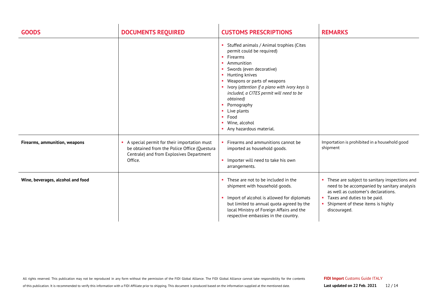| <b>GOODS</b>                      | <b>DOCUMENTS REQUIRED</b>                                                                                                                          | <b>CUSTOMS PRESCRIPTIONS</b>                                                                                                                                                                                                                                                                                                                                              | <b>REMARKS</b>                                                                                                                                                                                                               |
|-----------------------------------|----------------------------------------------------------------------------------------------------------------------------------------------------|---------------------------------------------------------------------------------------------------------------------------------------------------------------------------------------------------------------------------------------------------------------------------------------------------------------------------------------------------------------------------|------------------------------------------------------------------------------------------------------------------------------------------------------------------------------------------------------------------------------|
|                                   |                                                                                                                                                    | Stuffed animals / Animal trophies (Cites<br>permit could be required)<br>Firearms<br>Ammunition<br>Swords (even decorative)<br>Hunting knives<br>Weapons or parts of weapons<br>Ivory (attention if a piano with ivory keys is<br>included, a CITES permit will need to be<br>obtained)<br>Pornography<br>Live plants<br>Food<br>Wine, alcohol<br>Any hazardous material. |                                                                                                                                                                                                                              |
| Firearms, ammunition, weapons     | A special permit for their importation must<br>be obtained from the Police Office (Questura<br>Centrale) and from Explosives Department<br>Office. | Firearms and ammunitions cannot be<br>imported as household goods.<br>Importer will need to take his own<br>arrangements.                                                                                                                                                                                                                                                 | Importation is prohibited in a household good<br>shipment                                                                                                                                                                    |
| Wine, beverages, alcohol and food |                                                                                                                                                    | These are not to be included in the<br>shipment with household goods.<br>Import of alcohol is allowed for diplomats<br>but limited to annual quota agreed by the<br>local Ministry of Foreign Affairs and the<br>respective embassies in the country.                                                                                                                     | • These are subject to sanitary inspections and<br>need to be accompanied by sanitary analysis<br>as well as customer's declarations.<br>• Taxes and duties to be paid.<br>Shipment of these items is highly<br>discouraged. |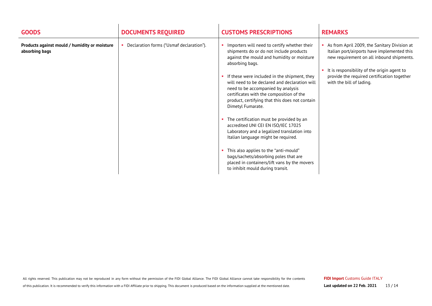| <b>GOODS</b>                                                    | <b>DOCUMENTS REQUIRED</b>                | <b>CUSTOMS PRESCRIPTIONS</b>                                                                                                                                                                                                                                                                                                                                                                                                                                                                                                                                                                                                                                                                                                                                      | <b>REMARKS</b>                                                                                                                                                                                                                                                     |
|-----------------------------------------------------------------|------------------------------------------|-------------------------------------------------------------------------------------------------------------------------------------------------------------------------------------------------------------------------------------------------------------------------------------------------------------------------------------------------------------------------------------------------------------------------------------------------------------------------------------------------------------------------------------------------------------------------------------------------------------------------------------------------------------------------------------------------------------------------------------------------------------------|--------------------------------------------------------------------------------------------------------------------------------------------------------------------------------------------------------------------------------------------------------------------|
| Products against mould / humidity or moisture<br>absorbing bags | Declaration forms ("Usmaf declaration"). | Importers will need to certify whether their<br>shipments do or do not include products<br>against the mould and humidity or moisture<br>absorbing bags.<br>If these were included in the shipment, they<br>will need to be declared and declaration will<br>need to be accompanied by analysis<br>certificates with the composition of the<br>product, certifying that this does not contain<br>Dimetyl Fumarate.<br>The certification must be provided by an<br>accredited UNI CEI EN ISO/IEC 17025<br>Laboratory and a legalized translation into<br>Italian language might be required.<br>This also applies to the "anti-mould"<br>bags/sachets/absorbing poles that are<br>placed in containers/lift vans by the movers<br>to inhibit mould during transit. | As from April 2009, the Sanitary Division at<br>Italian port/airports have implemented this<br>new requirement on all inbound shipments.<br>It is responsibility of the origin agent to<br>provide the required certification together<br>with the bill of lading. |